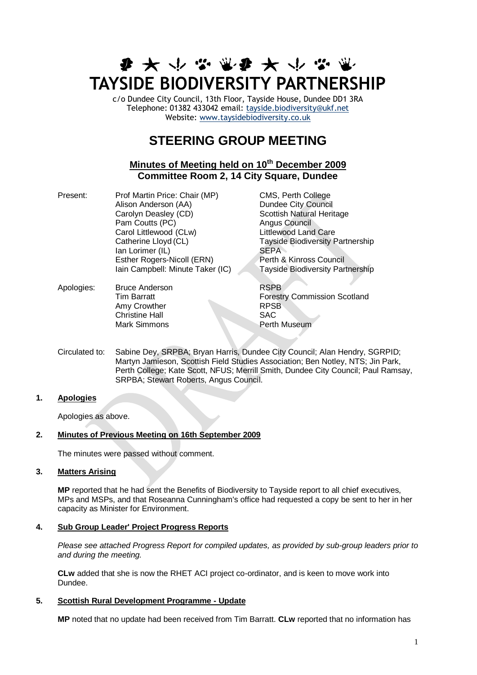# **まみやふぶなみかなり TAYSIDE BIODIVERSITY PARTNERSHIP**

c/o Dundee City Council, 13th Floor, Tayside House, Dundee DD1 3RA Telephone: 01382 433042 email: [tayside.biodiversity@ukf.net](mailto:tayside.biodiversity@ukf.net)  Website: [www.taysidebiodiversity.co.uk](http://www.taysidebiodiversity.co.uk/)

# **STEERING GROUP MEETING**

# **Minutes of Meeting held on 10th December 2009 Committee Room 2, 14 City Square, Dundee**

| Present: | Prof Martin Price: Chair (MP)<br>Alison Anderson (AA)<br>Carolyn Deasley (CD)<br>Pam Coutts (PC)<br>Carol Littlewood (CLw)<br>Catherine Lloyd (CL)<br>Ian Lorimer (IL)<br>Esther Rogers-Nicoll (ERN) |
|----------|------------------------------------------------------------------------------------------------------------------------------------------------------------------------------------------------------|
|          | Iain Campbell: Minute Taker (IC)                                                                                                                                                                     |

CMS, Perth College **Dundee City Council** Scottish Natural Heritage **Angus Council** Littlewood Land Care Tayside Biodiversity Partnership SEPA Perth & Kinross Council Tavside Biodiversity Partnership

Apologies: Bruce Anderson **RSPB** Tim Barratt Forestry Commission Scotland Amy Crowther RPSB Christine Hall SAC Mark Simmons **Perth Museum** 

Circulated to: Sabine Dey, SRPBA; Bryan Harris, Dundee City Council; Alan Hendry, SGRPID; Martyn Jamieson, Scottish Field Studies Association; Ben Notley, NTS; Jin Park, Perth College; Kate Scott, NFUS; Merrill Smith, Dundee City Council; Paul Ramsay, SRPBA; Stewart Roberts, Angus Council.

# **1. Apologies**

Apologies as above.

# **2. Minutes of Previous Meeting on 16th September 2009**

The minutes were passed without comment.

# **3. Matters Arising**

**MP** reported that he had sent the Benefits of Biodiversity to Tayside report to all chief executives, MPs and MSPs, and that Roseanna Cunningham's office had requested a copy be sent to her in her capacity as Minister for Environment.

# **4. Sub Group Leader' Project Progress Reports**

*Please see attached Progress Report for compiled updates, as provided by sub-group leaders prior to and during the meeting.*

**CLw** added that she is now the RHET ACI project co-ordinator, and is keen to move work into Dundee.

# **5. Scottish Rural Development Programme - Update**

**MP** noted that no update had been received from Tim Barratt. **CLw** reported that no information has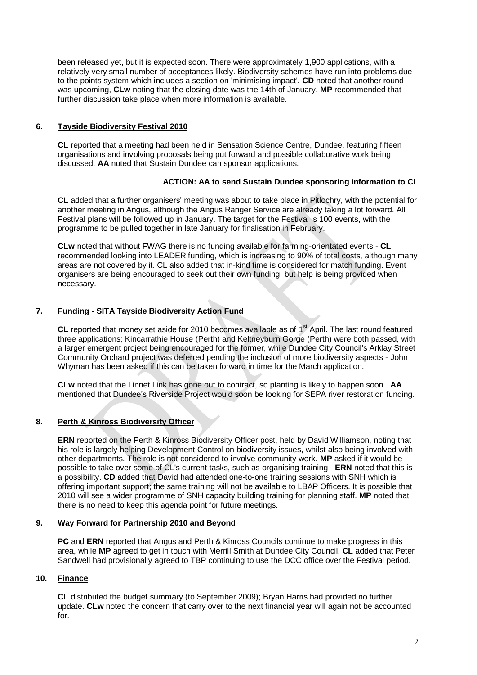been released yet, but it is expected soon. There were approximately 1,900 applications, with a relatively very small number of acceptances likely. Biodiversity schemes have run into problems due to the points system which includes a section on 'minimising impact'. **CD** noted that another round was upcoming, **CLw** noting that the closing date was the 14th of January. **MP** recommended that further discussion take place when more information is available.

# **6. Tayside Biodiversity Festival 2010**

**CL** reported that a meeting had been held in Sensation Science Centre, Dundee, featuring fifteen organisations and involving proposals being put forward and possible collaborative work being discussed. **AA** noted that Sustain Dundee can sponsor applications.

# **ACTION: AA to send Sustain Dundee sponsoring information to CL**

**CL** added that a further organisers' meeting was about to take place in Pitlochry, with the potential for another meeting in Angus, although the Angus Ranger Service are already taking a lot forward. All Festival plans will be followed up in January. The target for the Festival is 100 events, with the programme to be pulled together in late January for finalisation in February.

**CLw** noted that without FWAG there is no funding available for farming-orientated events - **CL** recommended looking into LEADER funding, which is increasing to 90% of total costs, although many areas are not covered by it. CL also added that in-kind time is considered for match funding. Event organisers are being encouraged to seek out their own funding, but help is being provided when necessary.

# **7. Funding - SITA Tayside Biodiversity Action Fund**

CL reported that money set aside for 2010 becomes available as of 1<sup>st</sup> April. The last round featured three applications; Kincarrathie House (Perth) and Keltneyburn Gorge (Perth) were both passed, with a larger emergent project being encouraged for the former, while Dundee City Council's Arklay Street Community Orchard project was deferred pending the inclusion of more biodiversity aspects - John Whyman has been asked if this can be taken forward in time for the March application.

**CLw** noted that the Linnet Link has gone out to contract, so planting is likely to happen soon. **AA**  mentioned that Dundee's Riverside Project would soon be looking for SEPA river restoration funding.

# **8. Perth & Kinross Biodiversity Officer**

**ERN** reported on the Perth & Kinross Biodiversity Officer post, held by David Williamson, noting that his role is largely helping Development Control on biodiversity issues, whilst also being involved with other departments. The role is not considered to involve community work. **MP** asked if it would be possible to take over some of CL's current tasks, such as organising training - **ERN** noted that this is a possibility. **CD** added that David had attended one-to-one training sessions with SNH which is offering important support; the same training will not be available to LBAP Officers. It is possible that 2010 will see a wider programme of SNH capacity building training for planning staff. **MP** noted that there is no need to keep this agenda point for future meetings.

# **9. Way Forward for Partnership 2010 and Beyond**

**PC** and **ERN** reported that Angus and Perth & Kinross Councils continue to make progress in this area, while **MP** agreed to get in touch with Merrill Smith at Dundee City Council. **CL** added that Peter Sandwell had provisionally agreed to TBP continuing to use the DCC office over the Festival period.

# **10. Finance**

**CL** distributed the budget summary (to September 2009); Bryan Harris had provided no further update. **CLw** noted the concern that carry over to the next financial year will again not be accounted for.